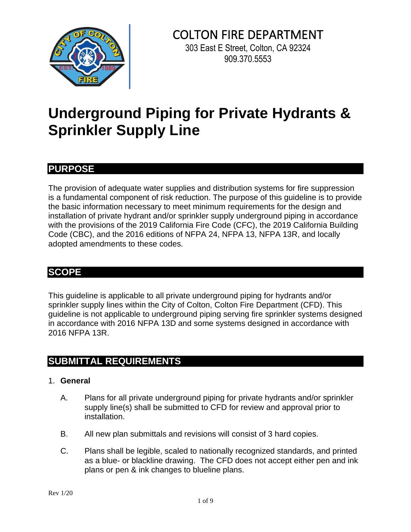

# COLTON FIRE DEPARTMENT

303 East E Street, Colton, CA 92324 909.370.5553

## **Underground Piping for Private Hydrants & Sprinkler Supply Line**

## **PURPOSE**

The provision of adequate water supplies and distribution systems for fire suppression is a fundamental component of risk reduction. The purpose of this guideline is to provide the basic information necessary to meet minimum requirements for the design and installation of private hydrant and/or sprinkler supply underground piping in accordance with the provisions of the 2019 California Fire Code (CFC), the 2019 California Building Code (CBC), and the 2016 editions of NFPA 24, NFPA 13, NFPA 13R, and locally adopted amendments to these codes.

## **SCOPE**

This guideline is applicable to all private underground piping for hydrants and/or sprinkler supply lines within the City of Colton, Colton Fire Department (CFD). This guideline is not applicable to underground piping serving fire sprinkler systems designed in accordance with 2016 NFPA 13D and some systems designed in accordance with 2016 NFPA 13R.

## **SUBMITTAL REQUIREMENTS**

## 1. **General**

- A. Plans for all private underground piping for private hydrants and/or sprinkler supply line(s) shall be submitted to CFD for review and approval prior to installation.
- B. All new plan submittals and revisions will consist of 3 hard copies.
- C. Plans shall be legible, scaled to nationally recognized standards, and printed as a blue- or blackline drawing. The CFD does not accept either pen and ink plans or pen & ink changes to blueline plans.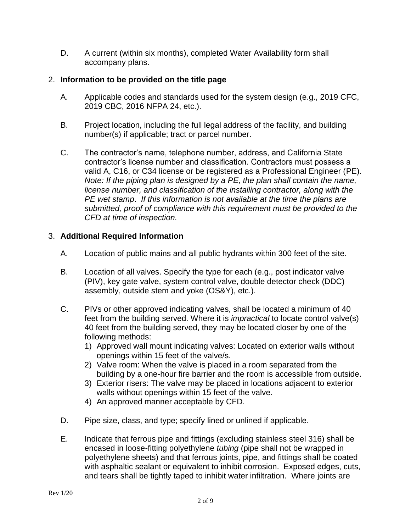D. A current (within six months), completed Water Availability form shall accompany plans.

## 2. **Information to be provided on the title page**

- A. Applicable codes and standards used for the system design (e.g., 2019 CFC, 2019 CBC, 2016 NFPA 24, etc.).
- B. Project location, including the full legal address of the facility, and building number(s) if applicable; tract or parcel number.
- C. The contractor's name, telephone number, address, and California State contractor's license number and classification. Contractors must possess a valid A, C16, or C34 license or be registered as a Professional Engineer (PE). *Note: If the piping plan is designed by a PE, the plan shall contain the name, license number, and classification of the installing contractor, along with the PE wet stamp*. *If this information is not available at the time the plans are submitted, proof of compliance with this requirement must be provided to the CFD at time of inspection.*

## 3. **Additional Required Information**

- A. Location of public mains and all public hydrants within 300 feet of the site.
- B. Location of all valves. Specify the type for each (e.g., post indicator valve (PIV), key gate valve, system control valve, double detector check (DDC) assembly, outside stem and yoke (OS&Y), etc.).
- C. PIVs or other approved indicating valves, shall be located a minimum of 40 feet from the building served. Where it is *impractical* to locate control valve(s) 40 feet from the building served, they may be located closer by one of the following methods:
	- 1) Approved wall mount indicating valves: Located on exterior walls without openings within 15 feet of the valve/s.
	- 2) Valve room: When the valve is placed in a room separated from the building by a one-hour fire barrier and the room is accessible from outside.
	- 3) Exterior risers: The valve may be placed in locations adjacent to exterior walls without openings within 15 feet of the valve.
	- 4) An approved manner acceptable by CFD.
- D. Pipe size, class, and type; specify lined or unlined if applicable.
- E. Indicate that ferrous pipe and fittings (excluding stainless steel 316) shall be encased in loose-fitting polyethylene *tubing* (pipe shall not be wrapped in polyethylene sheets) and that ferrous joints, pipe, and fittings shall be coated with asphaltic sealant or equivalent to inhibit corrosion. Exposed edges, cuts, and tears shall be tightly taped to inhibit water infiltration. Where joints are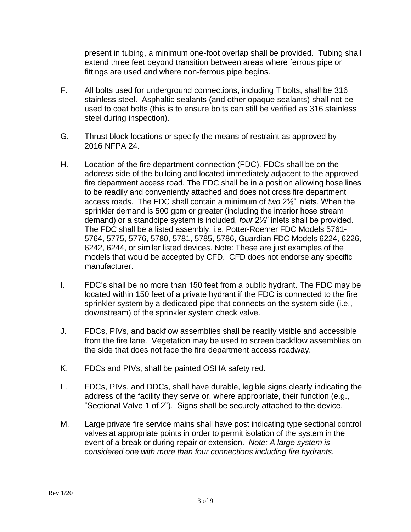present in tubing, a minimum one-foot overlap shall be provided. Tubing shall extend three feet beyond transition between areas where ferrous pipe or fittings are used and where non-ferrous pipe begins.

- F. All bolts used for underground connections, including T bolts, shall be 316 stainless steel. Asphaltic sealants (and other opaque sealants) shall not be used to coat bolts (this is to ensure bolts can still be verified as 316 stainless steel during inspection).
- G. Thrust block locations or specify the means of restraint as approved by 2016 NFPA 24.
- H. Location of the fire department connection (FDC). FDCs shall be on the address side of the building and located immediately adjacent to the approved fire department access road. The FDC shall be in a position allowing hose lines to be readily and conveniently attached and does not cross fire department access roads. The FDC shall contain a minimum of *two* 2½" inlets. When the sprinkler demand is 500 gpm or greater (including the interior hose stream demand) or a standpipe system is included, *four* 2½" inlets shall be provided. The FDC shall be a listed assembly, i.e. Potter-Roemer FDC Models 5761- 5764, 5775, 5776, 5780, 5781, 5785, 5786, Guardian FDC Models 6224, 6226, 6242, 6244, or similar listed devices. Note: These are just examples of the models that would be accepted by CFD. CFD does not endorse any specific manufacturer.
- I. FDC's shall be no more than 150 feet from a public hydrant. The FDC may be located within 150 feet of a private hydrant if the FDC is connected to the fire sprinkler system by a dedicated pipe that connects on the system side (i.e., downstream) of the sprinkler system check valve.
- J. FDCs, PIVs, and backflow assemblies shall be readily visible and accessible from the fire lane. Vegetation may be used to screen backflow assemblies on the side that does not face the fire department access roadway.
- K. FDCs and PIVs, shall be painted OSHA safety red.
- L. FDCs, PIVs, and DDCs, shall have durable, legible signs clearly indicating the address of the facility they serve or, where appropriate, their function (e.g., "Sectional Valve 1 of 2"). Signs shall be securely attached to the device.
- M. Large private fire service mains shall have post indicating type sectional control valves at appropriate points in order to permit isolation of the system in the event of a break or during repair or extension. *Note: A large system is considered one with more than four connections including fire hydrants.*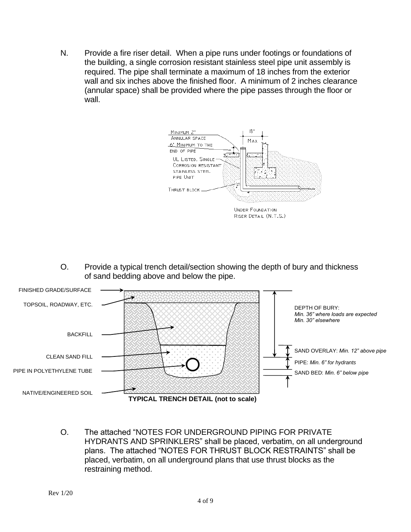N. Provide a fire riser detail. When a pipe runs under footings or foundations of the building, a single corrosion resistant stainless steel pipe unit assembly is required. The pipe shall terminate a maximum of 18 inches from the exterior wall and six inches above the finished floor. A minimum of 2 inches clearance (annular space) shall be provided where the pipe passes through the floor or wall.



O. Provide a typical trench detail/section showing the depth of bury and thickness of sand bedding above and below the pipe.



O. The attached "NOTES FOR UNDERGROUND PIPING FOR PRIVATE HYDRANTS AND SPRINKLERS" shall be placed, verbatim, on all underground plans. The attached "NOTES FOR THRUST BLOCK RESTRAINTS" shall be placed, verbatim, on all underground plans that use thrust blocks as the restraining method.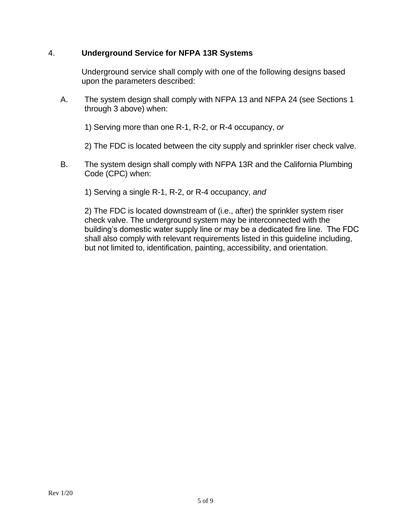## 4. **Underground Service for NFPA 13R Systems**

Underground service shall comply with one of the following designs based upon the parameters described:

A. The system design shall comply with NFPA 13 and NFPA 24 (see Sections 1 through 3 above) when:

1) Serving more than one R-1, R-2, or R-4 occupancy, *or*

2) The FDC is located between the city supply and sprinkler riser check valve.

B. The system design shall comply with NFPA 13R and the California Plumbing Code (CPC) when:

1) Serving a single R-1, R-2, or R-4 occupancy, *and*

2) The FDC is located downstream of (i.e., after) the sprinkler system riser check valve. The underground system may be interconnected with the building's domestic water supply line or may be a dedicated fire line. The FDC shall also comply with relevant requirements listed in this guideline including, but not limited to, identification, painting, accessibility, and orientation.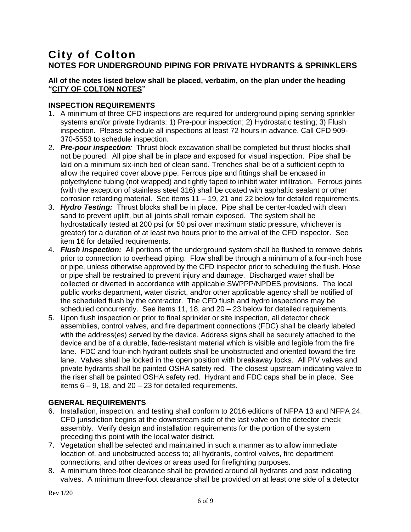## **City of Colton NOTES FOR UNDERGROUND PIPING FOR PRIVATE HYDRANTS & SPRINKLERS**

#### **All of the notes listed below shall be placed, verbatim, on the plan under the heading "CITY OF COLTON NOTES"**

#### **INSPECTION REQUIREMENTS**

- 1. A minimum of three CFD inspections are required for underground piping serving sprinkler systems and/or private hydrants: 1) Pre-pour inspection; 2) Hydrostatic testing; 3) Flush inspection. Please schedule all inspections at least 72 hours in advance. Call CFD 909- 370-5553 to schedule inspection.
- 2. *Pre-pour inspection:* Thrust block excavation shall be completed but thrust blocks shall not be poured. All pipe shall be in place and exposed for visual inspection. Pipe shall be laid on a minimum six-inch bed of clean sand. Trenches shall be of a sufficient depth to allow the required cover above pipe. Ferrous pipe and fittings shall be encased in polyethylene tubing (not wrapped) and tightly taped to inhibit water infiltration. Ferrous joints (with the exception of stainless steel 316) shall be coated with asphaltic sealant or other corrosion retarding material. See items 11 – 19, 21 and 22 below for detailed requirements.
- 3. *Hydro Testing:* Thrust blocks shall be in place. Pipe shall be center-loaded with clean sand to prevent uplift, but all joints shall remain exposed. The system shall be hydrostatically tested at 200 psi (or 50 psi over maximum static pressure, whichever is greater) for a duration of at least two hours prior to the arrival of the CFD inspector. See item 16 for detailed requirements.
- 4. *Flush inspection:* All portions of the underground system shall be flushed to remove debris prior to connection to overhead piping. Flow shall be through a minimum of a four-inch hose or pipe, unless otherwise approved by the CFD inspector prior to scheduling the flush. Hose or pipe shall be restrained to prevent injury and damage. Discharged water shall be collected or diverted in accordance with applicable SWPPP/NPDES provisions. The local public works department, water district, and/or other applicable agency shall be notified of the scheduled flush by the contractor. The CFD flush and hydro inspections may be scheduled concurrently. See items 11, 18, and 20 – 23 below for detailed requirements.
- 5. Upon flush inspection or prior to final sprinkler or site inspection, all detector check assemblies, control valves, and fire department connections (FDC) shall be clearly labeled with the address(es) served by the device. Address signs shall be securely attached to the device and be of a durable, fade-resistant material which is visible and legible from the fire lane. FDC and four-inch hydrant outlets shall be unobstructed and oriented toward the fire lane. Valves shall be locked in the open position with breakaway locks. All PIV valves and private hydrants shall be painted OSHA safety red. The closest upstream indicating valve to the riser shall be painted OSHA safety red. Hydrant and FDC caps shall be in place. See items  $6 - 9$ , 18, and  $20 - 23$  for detailed requirements.

#### **GENERAL REQUIREMENTS**

- 6. Installation, inspection, and testing shall conform to 2016 editions of NFPA 13 and NFPA 24. CFD jurisdiction begins at the downstream side of the last valve on the detector check assembly. Verify design and installation requirements for the portion of the system preceding this point with the local water district.
- 7. Vegetation shall be selected and maintained in such a manner as to allow immediate location of, and unobstructed access to; all hydrants, control valves, fire department connections, and other devices or areas used for firefighting purposes.
- 8. A minimum three-foot clearance shall be provided around all hydrants and post indicating valves. A minimum three-foot clearance shall be provided on at least one side of a detector

Rev 1/20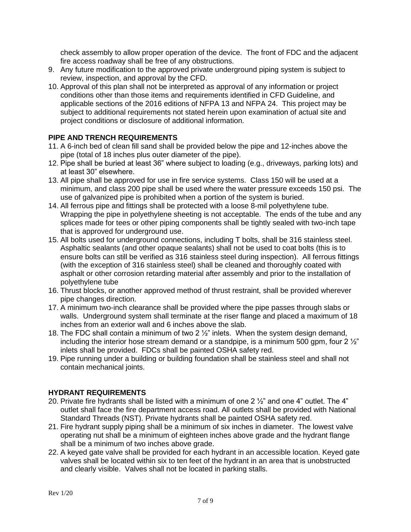check assembly to allow proper operation of the device. The front of FDC and the adjacent fire access roadway shall be free of any obstructions.

- 9. Any future modification to the approved private underground piping system is subject to review, inspection, and approval by the CFD.
- 10. Approval of this plan shall not be interpreted as approval of any information or project conditions other than those items and requirements identified in CFD Guideline, and applicable sections of the 2016 editions of NFPA 13 and NFPA 24. This project may be subject to additional requirements not stated herein upon examination of actual site and project conditions or disclosure of additional information.

### **PIPE AND TRENCH REQUIREMENTS**

- 11. A 6-inch bed of clean fill sand shall be provided below the pipe and 12-inches above the pipe (total of 18 inches plus outer diameter of the pipe).
- 12. Pipe shall be buried at least 36" where subject to loading (e.g., driveways, parking lots) and at least 30" elsewhere.
- 13. All pipe shall be approved for use in fire service systems. Class 150 will be used at a minimum, and class 200 pipe shall be used where the water pressure exceeds 150 psi. The use of galvanized pipe is prohibited when a portion of the system is buried.
- 14. All ferrous pipe and fittings shall be protected with a loose 8-mil polyethylene tube. Wrapping the pipe in polyethylene sheeting is not acceptable. The ends of the tube and any splices made for tees or other piping components shall be tightly sealed with two-inch tape that is approved for underground use.
- 15. All bolts used for underground connections, including T bolts, shall be 316 stainless steel. Asphaltic sealants (and other opaque sealants) shall not be used to coat bolts (this is to ensure bolts can still be verified as 316 stainless steel during inspection). All ferrous fittings (with the exception of 316 stainless steel) shall be cleaned and thoroughly coated with asphalt or other corrosion retarding material after assembly and prior to the installation of polyethylene tube
- 16. Thrust blocks, or another approved method of thrust restraint, shall be provided wherever pipe changes direction.
- 17. A minimum two-inch clearance shall be provided where the pipe passes through slabs or walls. Underground system shall terminate at the riser flange and placed a maximum of 18 inches from an exterior wall and 6 inches above the slab.
- 18. The FDC shall contain a minimum of two 2  $\frac{1}{2}$ " inlets. When the system design demand, including the interior hose stream demand or a standpipe, is a minimum 500 gpm, four  $2\frac{1}{2}$ " inlets shall be provided. FDCs shall be painted OSHA safety red.
- 19. Pipe running under a building or building foundation shall be stainless steel and shall not contain mechanical joints.

### **HYDRANT REQUIREMENTS**

- 20. Private fire hydrants shall be listed with a minimum of one 2  $\frac{1}{2}$  and one 4" outlet. The 4" outlet shall face the fire department access road. All outlets shall be provided with National Standard Threads (NST). Private hydrants shall be painted OSHA safety red.
- 21. Fire hydrant supply piping shall be a minimum of six inches in diameter. The lowest valve operating nut shall be a minimum of eighteen inches above grade and the hydrant flange shall be a minimum of two inches above grade.
- 22. A keyed gate valve shall be provided for each hydrant in an accessible location. Keyed gate valves shall be located within six to ten feet of the hydrant in an area that is unobstructed and clearly visible. Valves shall not be located in parking stalls.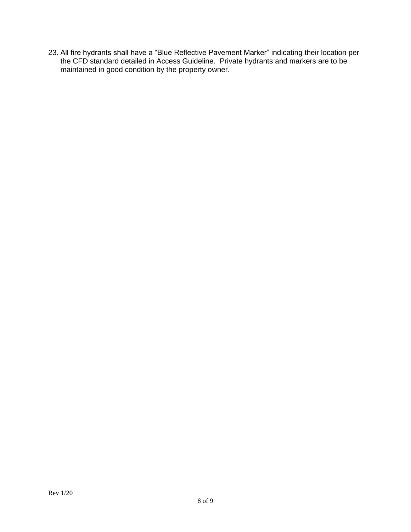23. All fire hydrants shall have a "Blue Reflective Pavement Marker" indicating their location per the CFD standard detailed in Access Guideline. Private hydrants and markers are to be maintained in good condition by the property owner.